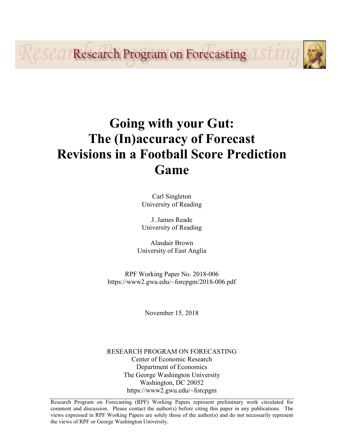**PSPA/Research Program on Forecasting AST11** 

# **Going with your Gut: The (In)accuracy of Forecast Revisions in a Football Score Prediction Game**

Carl Singleton University of Reading

J. James Reade University of Reading

Alasdair Brown University of East Anglia

RPF Working Paper No. 2018-006 https://www2.gwu.edu/~forcpgm/2018-006.pdf

November 15, 2018

RESEARCH PROGRAM ON FORECASTING Center of Economic Research Department of Economics The George Washington University Washington, DC 20052 https://www2.gwu.edu/~forcpgm

Research Program on Forecasting (RPF) Working Papers represent preliminary work circulated for comment and discussion. Please contact the author(s) before citing this paper in any publications. The views expressed in RPF Working Papers are solely those of the author(s) and do not necessarily represent the views of RPF or George Washington University.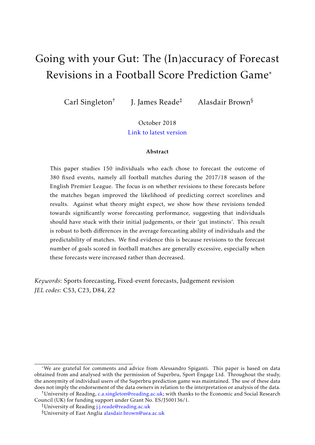# Going with your Gut: The (In)accuracy of Forecast Revisions in a Football Score Prediction Game\*

Carl Singleton†

J. James Reade‡ Alasdair Brown§

October 2018 [Link to latest version](https://www.carlsingletoneconomics.com/uploads/4/2/3/0/42306545/superbru_fcast_revise_brs.pdf)

#### Abstract

This paper studies 150 individuals who each chose to forecast the outcome of 380 fixed events, namely all football matches during the 2017/18 season of the English Premier League. The focus is on whether revisions to these forecasts before the matches began improved the likelihood of predicting correct scorelines and results. Against what theory might expect, we show how these revisions tended towards significantly worse forecasting performance, suggesting that individuals should have stuck with their initial judgements, or their 'gut instincts'. This result is robust to both differences in the average forecasting ability of individuals and the predictability of matches. We find evidence this is because revisions to the forecast number of goals scored in football matches are generally excessive, especially when these forecasts were increased rather than decreased.

*Keywords*: Sports forecasting, Fixed-event forecasts, Judgement revision *JEL codes*: C53, C23, D84, Z2

<sup>\*</sup>We are grateful for comments and advice from Alessandro Spiganti. This paper is based on data obtained from and analysed with the permission of Superbru, Sport Engage Ltd. Throughout the study, the anonymity of individual users of the Superbru prediction game was maintained. The use of these data does not imply the endorsement of the data owners in relation to the interpretation or analysis of the data.

<sup>&</sup>lt;sup>†</sup>University of Reading, [c.a.singleton@reading.ac.uk;](mailto:c.a.singleton@reading.ac.uk) with thanks to the Economic and Social Research Council (UK) for funding support under Grant No. ES/J500136/1.

<sup>‡</sup>University of Reading [j.j.reade@reading.ac.uk](mailto:j.j.reade@reading.ac.uk)

<sup>§</sup>University of East Anglia [alasdair.brown@uea.ac.uk](mailto:alasdair.brown@uea.ac.uk)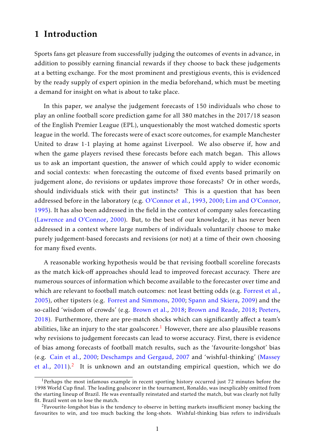## 1 Introduction

Sports fans get pleasure from successfully judging the outcomes of events in advance, in addition to possibly earning financial rewards if they choose to back these judgements at a betting exchange. For the most prominent and prestigious events, this is evidenced by the ready supply of expert opinion in the media beforehand, which must be meeting a demand for insight on what is about to take place.

In this paper, we analyse the judgement forecasts of 150 individuals who chose to play an online football score prediction game for all 380 matches in the 2017/18 season of the English Premier League (EPL), unquestionably the most watched domestic sports league in the world. The forecasts were of exact score outcomes, for example Manchester United to draw 1-1 playing at home against Liverpool. We also observe if, how and when the game players revised these forecasts before each match began. This allows us to ask an important question, the answer of which could apply to wider economic and social contexts: when forecasting the outcome of fixed events based primarily on judgement alone, do revisions or updates improve those forecasts? Or in other words, should individuals stick with their gut instincts? This is a question that has been addressed before in the laboratory (e.g. [O'Connor et al.,](#page-23-0) [1993,](#page-23-0) [2000;](#page-23-1) [Lim and O'Connor,](#page-23-2) [1995\)](#page-23-2). It has also been addressed in the field in the context of company sales forecasting [\(Lawrence and O'Connor,](#page-23-3) [2000\)](#page-23-3). But, to the best of our knowledge, it has never been addressed in a context where large numbers of individuals voluntarily choose to make purely judgement-based forecasts and revisions (or not) at a time of their own choosing for many fixed events.

A reasonable working hypothesis would be that revising football scoreline forecasts as the match kick-off approaches should lead to improved forecast accuracy. There are numerous sources of information which become available to the forecaster over time and which are relevant to football match outcomes: not least betting odds (e.g. [Forrest et al.,](#page-22-0) [2005\)](#page-22-0), other tipsters (e.g. [Forrest and Simmons,](#page-22-1) [2000;](#page-22-1) [Spann and Skiera,](#page-23-4) [2009\)](#page-23-4) and the so-called 'wisdom of crowds' (e.g. [Brown et al.,](#page-22-2) [2018;](#page-22-2) [Brown and Reade,](#page-22-3) [2018;](#page-22-3) [Peeters,](#page-23-5) [2018\)](#page-23-5). Furthermore, there are pre-match shocks which can significantly affect a team's abilities, like an injury to the star goalscorer.<sup>[1](#page-2-0)</sup> However, there are also plausible reasons why revisions to judgement forecasts can lead to worse accuracy. First, there is evidence of bias among forecasts of football match results, such as the 'favourite-longshot' bias (e.g. [Cain et al.,](#page-22-4) [2000;](#page-22-4) [Deschamps and Gergaud,](#page-22-5) [2007](#page-22-5) and 'wishful-thinking' [\(Massey](#page-23-6) [et al.,](#page-23-6)  $2011$  $2011$ ).<sup>2</sup> It is unknown and an outstanding empirical question, which we do

<span id="page-2-0"></span><sup>&</sup>lt;sup>1</sup>Perhaps the most infamous example in recent sporting history occurred just 72 minutes before the 1998 World Cup final. The leading goalscorer in the tournament, Ronaldo, was inexplicably omitted from the starting lineup of Brazil. He was eventually reinstated and started the match, but was clearly not fully fit. Brazil went on to lose the match.

<span id="page-2-1"></span> $2F$ avourite-longshot bias is the tendency to observe in betting markets insufficient money backing the favourites to win, and too much backing the long-shots. Wishful-thinking bias refers to individuals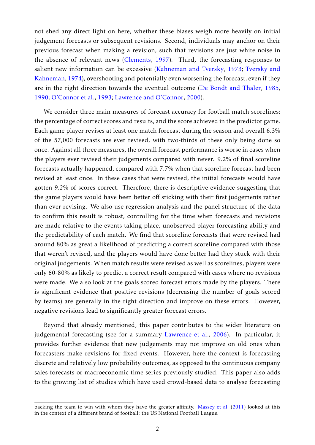not shed any direct light on here, whether these biases weigh more heavily on initial judgement forecasts or subsequent revisions. Second, individuals may anchor on their previous forecast when making a revision, such that revisions are just white noise in the absence of relevant news [\(Clements,](#page-22-6) [1997\)](#page-22-6). Third, the forecasting responses to salient new information can be excessive [\(Kahneman and Tversky,](#page-22-7) [1973;](#page-22-7) [Tversky and](#page-23-7) [Kahneman,](#page-23-7) [1974\)](#page-23-7), overshooting and potentially even worsening the forecast, even if they are in the right direction towards the eventual outcome [\(De Bondt and Thaler,](#page-22-8) [1985,](#page-22-8) [1990;](#page-22-9) [O'Connor et al.,](#page-23-0) [1993;](#page-23-0) [Lawrence and O'Connor,](#page-23-3) [2000\)](#page-23-3).

We consider three main measures of forecast accuracy for football match scorelines: the percentage of correct scores and results, and the score achieved in the predictor game. Each game player revises at least one match forecast during the season and overall 6.3% of the 57,000 forecasts are ever revised, with two-thirds of these only being done so once. Against all three measures, the overall forecast performance is worse in cases when the players ever revised their judgements compared with never. 9.2% of final scoreline forecasts actually happened, compared with 7.7% when that scoreline forecast had been revised at least once. In these cases that were revised, the initial forecasts would have gotten 9.2% of scores correct. Therefore, there is descriptive evidence suggesting that the game players would have been better off sticking with their first judgements rather than ever revising. We also use regression analysis and the panel structure of the data to confirm this result is robust, controlling for the time when forecasts and revisions are made relative to the events taking place, unobserved player forecasting ability and the predictability of each match. We find that scoreline forecasts that were revised had around 80% as great a likelihood of predicting a correct scoreline compared with those that weren't revised, and the players would have done better had they stuck with their original judgements. When match results were revised as well as scorelines, players were only 60-80% as likely to predict a correct result compared with cases where no revisions were made. We also look at the goals scored forecast errors made by the players. There is significant evidence that positive revisions (decreasing the number of goals scored by teams) are generally in the right direction and improve on these errors. However, negative revisions lead to significantly greater forecast errors.

Beyond that already mentioned, this paper contributes to the wider literature on judgemental forecasting (see for a summary [Lawrence et al.,](#page-23-8) [2006\)](#page-23-8). In particular, it provides further evidence that new judgements may not improve on old ones when forecasters make revisions for fixed events. However, here the context is forecasting discrete and relatively low probability outcomes, as opposed to the continuous company sales forecasts or macroeconomic time series previously studied. This paper also adds to the growing list of studies which have used crowd-based data to analyse forecasting

backing the team to win with whom they have the greater affinity. [Massey et al.](#page-23-6) [\(2011\)](#page-23-6) looked at this in the context of a different brand of football: the US National Football League.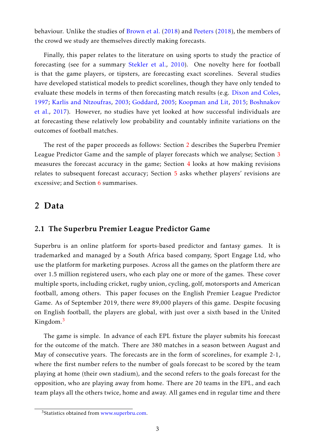behaviour. Unlike the studies of [Brown et al.](#page-22-2) [\(2018\)](#page-22-2) and [Peeters](#page-23-5) [\(2018\)](#page-23-5), the members of the crowd we study are themselves directly making forecasts.

Finally, this paper relates to the literature on using sports to study the practice of forecasting (see for a summary [Stekler et al.,](#page-23-9) [2010\)](#page-23-9). One novelty here for football is that the game players, or tipsters, are forecasting exact scorelines. Several studies have developed statistical models to predict scorelines, though they have only tended to evaluate these models in terms of then forecasting match results (e.g. [Dixon and Coles,](#page-22-10) [1997;](#page-22-10) [Karlis and Ntzoufras,](#page-22-11) [2003;](#page-22-11) [Goddard,](#page-22-12) [2005;](#page-22-12) [Koopman and Lit,](#page-22-13) [2015;](#page-22-13) [Boshnakov](#page-22-14) [et al.,](#page-22-14) [2017\)](#page-22-14). However, no studies have yet looked at how successful individuals are at forecasting these relatively low probability and countably infinite variations on the outcomes of football matches.

The rest of the paper proceeds as follows: Section [2](#page-9-0) describes the Superbru Premier League Predictor Game and the sample of player forecasts which we analyse; Section [3](#page-9-1) measures the forecast accuracy in the game; Section [4](#page-13-0) looks at how making revisions relates to subsequent forecast accuracy; Section [5](#page-10-0) asks whether players' revisions are excessive; and Section [6](#page-11-0) summarises.

### <span id="page-4-1"></span>2 Data

### 2.1 The Superbru Premier League Predictor Game

Superbru is an online platform for sports-based predictor and fantasy games. It is trademarked and managed by a South Africa based company, Sport Engage Ltd, who use the platform for marketing purposes. Across all the games on the platform there are over 1.5 million registered users, who each play one or more of the games. These cover multiple sports, including cricket, rugby union, cycling, golf, motorsports and American football, among others. This paper focuses on the English Premier League Predictor Game. As of September 2019, there were 89,000 players of this game. Despite focusing on English football, the players are global, with just over a sixth based in the United Kingdom.<sup>[3](#page-4-0)</sup>

The game is simple. In advance of each EPL fixture the player submits his forecast for the outcome of the match. There are 380 matches in a season between August and May of consecutive years. The forecasts are in the form of scorelines, for example 2-1, where the first number refers to the number of goals forecast to be scored by the team playing at home (their own stadium), and the second refers to the goals forecast for the opposition, who are playing away from home. There are 20 teams in the EPL, and each team plays all the others twice, home and away. All games end in regular time and there

<span id="page-4-0"></span><sup>&</sup>lt;sup>3</sup>Statistics obtained from [www.superbru.com.](www.superbru.com)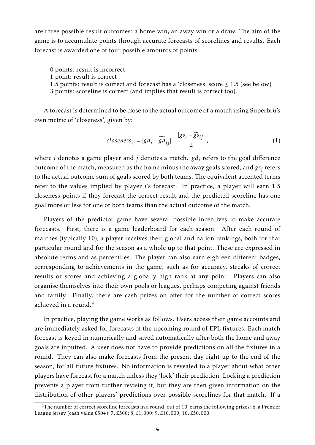are three possible result outcomes: a home win, an away win or a draw. The aim of the game is to accumulate points through accurate forecasts of scorelines and results. Each forecast is awarded one of four possible amounts of points:

0 points: result is incorrect

- 1 point: result is correct
- 1.5 points: result is correct and forecast has a 'closeness' score  $\leq 1.5$  (see below)
- 3 points: scoreline is correct (and implies that result is correct too).

A forecast is determined to be close to the actual outcome of a match using Superbru's own metric of 'closeness', given by:

<span id="page-5-1"></span>
$$
closeness_{ij} = |gd_j - \widetilde{gd}_{ij}| + \frac{|gs_j - \widetilde{gs}_{ij}|}{2},
$$
\n(1)

where *i* denotes a game player and *j* denotes a match. *gd<sup>j</sup>* refers to the goal difference outcome of the match, measured as the home minus the away goals scored, and  $gs_j$  refers to the actual outcome sum of goals scored by both teams. The equivalent accented terms refer to the values implied by player *i*'s forecast. In practice, a player will earn 1.5 closeness points if they forecast the correct result and the predicted scoreline has one goal more or less for one or both teams than the actual outcome of the match.

Players of the predictor game have several possible incentives to make accurate forecasts. First, there is a game leaderboard for each season. After each round of matches (typically 10), a player receives their global and nation rankings, both for that particular round and for the season as a whole up to that point. These are expressed in absolute terms and as percentiles. The player can also earn eighteen different badges, corresponding to achievements in the game, such as for accuracy, streaks of correct results or scores and achieving a globally high rank at any point. Players can also organise themselves into their own pools or leagues, perhaps competing against friends and family. Finally, there are cash prizes on offer for the number of correct scores achieved in a round. $4$ 

In practice, playing the game works as follows. Users access their game accounts and are immediately asked for forecasts of the upcoming round of EPL fixtures. Each match forecast is keyed in numerically and saved automatically after both the home and away goals are inputted. A user does not have to provide predictions on all the fixtures in a round. They can also make forecasts from the present day right up to the end of the season, for all future fixtures. No information is revealed to a player about what other players have forecast for a match unless they 'lock' their prediction. Locking a prediction prevents a player from further revising it, but they are then given information on the distribution of other players' predictions over possible scorelines for that match. If a

<span id="page-5-0"></span> ${}^{4}$ The number of correct scoreline forecasts in a round, out of 10, earns the following prizes: 6, a Premier League jersey (cash value £50+); 7, £500; 8, £1*,*000; 9, £10*,*000; 10, £50*,*000.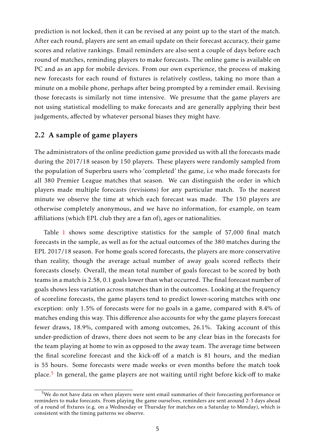prediction is not locked, then it can be revised at any point up to the start of the match. After each round, players are sent an email update on their forecast accuracy, their game scores and relative rankings. Email reminders are also sent a couple of days before each round of matches, reminding players to make forecasts. The online game is available on PC and as an app for mobile devices. From our own experience, the process of making new forecasts for each round of fixtures is relatively costless, taking no more than a minute on a mobile phone, perhaps after being prompted by a reminder email. Revising those forecasts is similarly not time intensive. We presume that the game players are not using statistical modelling to make forecasts and are generally applying their best judgements, affected by whatever personal biases they might have.

#### 2.2 A sample of game players

The administrators of the online prediction game provided us with all the forecasts made during the 2017/18 season by 150 players. These players were randomly sampled from the population of Superbru users who 'completed' the game, i.e who made forecasts for all 380 Premier League matches that season. We can distinguish the order in which players made multiple forecasts (revisions) for any particular match. To the nearest minute we observe the time at which each forecast was made. The 150 players are otherwise completely anonymous, and we have no information, for example, on team affiliations (which EPL club they are a fan of), ages or nationalities.

Table [1](#page-7-0) shows some descriptive statistics for the sample of 57,000 final match forecasts in the sample, as well as for the actual outcomes of the 380 matches during the EPL 2017/18 season. For home goals scored forecasts, the players are more conservative than reality, though the average actual number of away goals scored reflects their forecasts closely. Overall, the mean total number of goals forecast to be scored by both teams in a match is 2.58, 0.1 goals lower than what occurred. The final forecast number of goals shows less variation across matches than in the outcomes. Looking at the frequency of scoreline forecasts, the game players tend to predict lower-scoring matches with one exception: only 1.5% of forecasts were for no goals in a game, compared with 8.4% of matches ending this way. This difference also accounts for why the game players forecast fewer draws, 18.9%, compared with among outcomes, 26.1%. Taking account of this under-prediction of draws, there does not seem to be any clear bias in the forecasts for the team playing at home to win as opposed to the away team. The average time between the final scoreline forecast and the kick-off of a match is 81 hours, and the median is 55 hours. Some forecasts were made weeks or even months before the match took place.<sup>[5](#page-6-0)</sup> In general, the game players are not waiting until right before kick-off to make

<span id="page-6-0"></span> $5$ We do not have data on when players were sent email summaries of their forecasting performance or reminders to make forecasts. From playing the game ourselves, reminders are sent around 2-3 days ahead of a round of fixtures (e.g. on a Wednesday or Thursday for matches on a Saturday to Monday), which is consistent with the timing patterns we observe.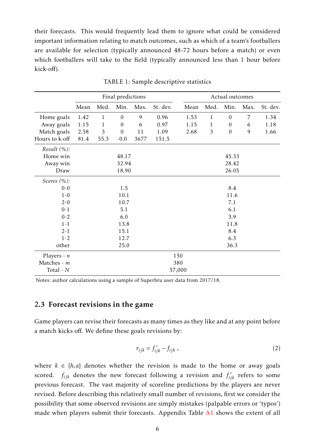their forecasts. This would frequently lead them to ignore what could be considered important information relating to match outcomes, such as which of a team's footballers are available for selection (typically announced 48-72 hours before a match) or even which footballers will take to the field (typically announced less than 1 hour before kick-off).

<span id="page-7-0"></span>

|                |      |                | Final predictions |      |          |        |              | Actual outcomes  |                |          |
|----------------|------|----------------|-------------------|------|----------|--------|--------------|------------------|----------------|----------|
|                | Mean | Med.           | Min.              | Max. | St. dev. | Mean   | Med.         | Min.             | Max.           | St. dev. |
| Home goals     | 1.42 | $\mathbf{1}$   | $\mathbf{0}$      | 9    | 0.96     | 1.53   | $\mathbf{1}$ | $\boldsymbol{0}$ | $\overline{7}$ | 1.34     |
| Away goals     | 1.15 | $\mathbf{1}$   | $\boldsymbol{0}$  | 6    | 0.97     | 1.15   | $\mathbf{1}$ | $\boldsymbol{0}$ | 6              | 1.18     |
| Match goals    | 2.58 | $\mathfrak{Z}$ | $\mathbf{0}$      | 11   | 1.09     | 2.68   | 3            | $\mathbf{0}$     | 9              | 1.66     |
| Hours to k-off | 81.4 | 55.3           | $-0.0$            | 3677 | 151.5    |        |              |                  |                |          |
| Result $(\%):$ |      |                |                   |      |          |        |              |                  |                |          |
| Home win       |      |                | 48.17             |      |          |        |              | 45.33            |                |          |
| Away win       |      |                | 32.94             |      |          |        |              | 28.42            |                |          |
| Draw           |      |                | 18.90             |      |          |        |              | 26.05            |                |          |
| Scores $(\%):$ |      |                |                   |      |          |        |              |                  |                |          |
| $0 - 0$        |      | 1.5            |                   |      |          |        |              | 8.4              |                |          |
| $1 - 0$        |      |                | 10.1              |      |          |        | 11.6         |                  |                |          |
| $2 - 0$        |      |                | 10.7              |      |          | 7.1    |              |                  |                |          |
| $0 - 1$        |      |                | 5.1               |      |          | 6.1    |              |                  |                |          |
| $0 - 2$        |      |                | 6.0               |      |          |        |              | 3.9              |                |          |
| $1 - 1$        |      |                | 13.8              |      |          | 11.8   |              |                  |                |          |
| $2 - 1$        |      |                | 15.1              |      |          |        |              | 8.4              |                |          |
| $1 - 2$        |      |                | 12.7              |      |          |        |              | 6.3              |                |          |
| other          |      |                | 25.0              |      |          |        |              | 36.3             |                |          |
| Players - $n$  |      |                |                   |      |          | 150    |              |                  |                |          |
| Matches - m    |      |                |                   |      |          | 380    |              |                  |                |          |
| Total - N      |      |                |                   |      |          | 57,000 |              |                  |                |          |

TABLE 1: Sample descriptive statistics

Notes: author calculations using a sample of Superbru user data from 2017/18.

#### 2.3 Forecast revisions in the game

Game players can revise their forecasts as many times as they like and at any point before a match kicks off. We define these goals revisions by:

<span id="page-7-1"></span>
$$
r_{ijk} = f'_{ijk} - f_{ijk} \tag{2}
$$

where  $k \in \{h, a\}$  denotes whether the revision is made to the home or away goals scored.  $f_{ijk}$  denotes the new forecast following a revision and  $f'_{ijk}$  refers to some previous forecast. The vast majority of scoreline predictions by the players are never revised. Before describing this relatively small number of revisions, first we consider the possibility that some observed revisions are simply mistakes (palpable errors or 'typos') made when players submit their forecasts. Appendix Table [A1](#page-24-0) shows the extent of all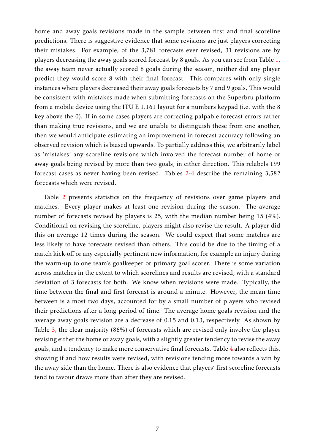home and away goals revisions made in the sample between first and final scoreline predictions. There is suggestive evidence that some revisions are just players correcting their mistakes. For example, of the 3,781 forecasts ever revised, 31 revisions are by players decreasing the away goals scored forecast by 8 goals. As you can see from Table [1,](#page-7-0) the away team never actually scored 8 goals during the season, neither did any player predict they would score 8 with their final forecast. This compares with only single instances where players decreased their away goals forecasts by 7 and 9 goals. This would be consistent with mistakes made when submitting forecasts on the Superbru platform from a mobile device using the ITU E 1.161 layout for a numbers keypad (i.e. with the 8 key above the 0). If in some cases players are correcting palpable forecast errors rather than making true revisions, and we are unable to distinguish these from one another, then we would anticipate estimating an improvement in forecast accuracy following an observed revision which is biased upwards. To partially address this, we arbitrarily label as 'mistakes' any scoreline revisions which involved the forecast number of home or away goals being revised by more than two goals, in either direction. This relabels 199 forecast cases as never having been revised. Tables [2](#page-9-0)[-4](#page-9-2) describe the remaining 3,582 forecasts which were revised.

Table [2](#page-9-0) presents statistics on the frequency of revisions over game players and matches. Every player makes at least one revision during the season. The average number of forecasts revised by players is 25, with the median number being 15 (4%). Conditional on revising the scoreline, players might also revise the result. A player did this on average 12 times during the season. We could expect that some matches are less likely to have forecasts revised than others. This could be due to the timing of a match kick-off or any especially pertinent new information, for example an injury during the warm-up to one team's goalkeeper or primary goal scorer. There is some variation across matches in the extent to which scorelines and results are revised, with a standard deviation of 3 forecasts for both. We know when revisions were made. Typically, the time between the final and first forecast is around a minute. However, the mean time between is almost two days, accounted for by a small number of players who revised their predictions after a long period of time. The average home goals revision and the average away goals revision are a decrease of 0.15 and 0.13, respectively. As shown by Table [3,](#page-9-1) the clear majority (86%) of forecasts which are revised only involve the player revising either the home or away goals, with a slightly greater tendency to revise the away goals, and a tendency to make more conservative final forecasts. Table [4](#page-9-2) also reflects this, showing if and how results were revised, with revisions tending more towards a win by the away side than the home. There is also evidence that players' first scoreline forecasts tend to favour draws more than after they are revised.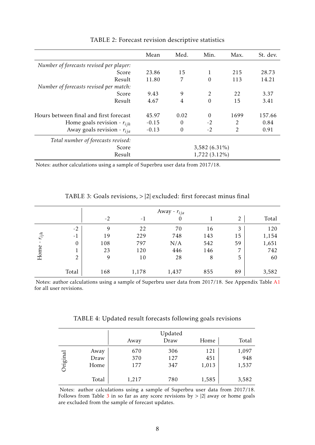<span id="page-9-0"></span>

|                                         | Mean    | Med.     | Min.            | Max.           | St. dev. |
|-----------------------------------------|---------|----------|-----------------|----------------|----------|
| Number of forecasts revised per player: |         |          |                 |                |          |
| Score                                   | 23.86   | 15       | 1               | 215            | 28.73    |
| Result                                  | 11.80   | 7        | $\theta$        | 113            | 14.21    |
| Number of forecasts revised per match:  |         |          |                 |                |          |
| Score                                   | 9.43    | 9        | $\overline{2}$  | 22             | 3.37     |
| Result                                  | 4.67    | 4        | $\theta$        | 15             | 3.41     |
| Hours between final and first forecast  | 45.97   | 0.02     | $\theta$        | 1699           | 157.66   |
| Home goals revision - $r_{ijh}$         | $-0.15$ | $\Omega$ | $-2$            | $\overline{2}$ | 0.84     |
| Away goals revision - $r_{ija}$         | $-0.13$ | $\Omega$ | $-2$            | 2              | 0.91     |
| Total number of forecasts revised:      |         |          |                 |                |          |
| Score                                   |         |          | $3,582(6.31\%)$ |                |          |
| Result                                  |         |          | 1,722 (3.12%)   |                |          |

TABLE 2: Forecast revision descriptive statistics

Notes: author calculations using a sample of Superbru user data from 2017/18.

<span id="page-9-1"></span>

|           |                |      | Away - $r_{ija}$ |       |     |                |       |  |  |  |  |
|-----------|----------------|------|------------------|-------|-----|----------------|-------|--|--|--|--|
|           |                | $-2$ | $-1$             | 0     |     | $\overline{2}$ | Total |  |  |  |  |
|           | $-2$           | 9    | 22               | 70    | 16  | 3              | 120   |  |  |  |  |
| $r_{ijh}$ | $-1$           | 19   | 229              | 748   | 143 | 15             | 1,154 |  |  |  |  |
|           | $\mathbf{0}$   | 108  | 797              | N/A   | 542 | 59             | 1,651 |  |  |  |  |
|           | T.             | 23   | 120              | 446   | 146 | 7              | 742   |  |  |  |  |
| Home      | $\overline{2}$ | 9    | 10               | 28    | 8   | 5              | 60    |  |  |  |  |
|           | Total          | 168  | 1,178            | 1,437 | 855 | 89             | 3,582 |  |  |  |  |

TABLE 3: Goals revisions, *>* |2| excluded: first forecast minus final

Notes: author calculations using a sample of Superbru user data from 2017/18. See Appendix Table [A1](#page-24-0) for all user revisions.

TABLE 4: Updated result forecasts following goals revisions

<span id="page-9-2"></span>

|          |                      | Away              | Updated<br>Draw   | Home                | Total                 |
|----------|----------------------|-------------------|-------------------|---------------------|-----------------------|
| Original | Away<br>Draw<br>Home | 670<br>370<br>177 | 306<br>127<br>347 | 121<br>451<br>1,013 | 1,097<br>948<br>1,537 |
|          | Total                | 1,217             | 780               | 1,585               | 3,582                 |

Notes: author calculations using a sample of Superbru user data from 2017/18. Follows from Table [3](#page-9-1) in so far as any score revisions by *>* |2| away or home goals are excluded from the sample of forecast updates.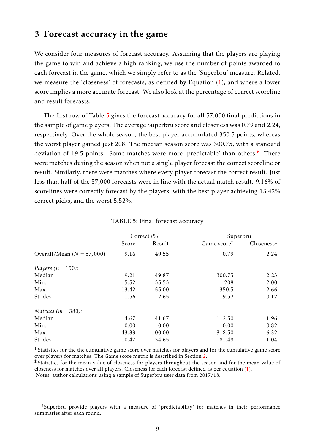### <span id="page-10-2"></span>3 Forecast accuracy in the game

We consider four measures of forecast accuracy. Assuming that the players are playing the game to win and achieve a high ranking, we use the number of points awarded to each forecast in the game, which we simply refer to as the 'Superbru' measure. Related, we measure the 'closeness' of forecasts, as defined by Equation [\(1\)](#page-5-1), and where a lower score implies a more accurate forecast. We also look at the percentage of correct scoreline and result forecasts.

The first row of Table [5](#page-10-0) gives the forecast accuracy for all 57,000 final predictions in the sample of game players. The average Superbru score and closeness was 0.79 and 2.24, respectively. Over the whole season, the best player accumulated 350.5 points, whereas the worst player gained just 208. The median season score was 300.75, with a standard deviation of 19.5 points. Some matches were more 'predictable' than others.<sup>[6](#page-10-1)</sup> There were matches during the season when not a single player forecast the correct scoreline or result. Similarly, there were matches where every player forecast the correct result. Just less than half of the 57,000 forecasts were in line with the actual match result. 9.16% of scorelines were correctly forecast by the players, with the best player achieving 13.42% correct picks, and the worst 5.52%.

<span id="page-10-0"></span>

|                             |       | Correct $(\% )$ | Superbru                |                        |
|-----------------------------|-------|-----------------|-------------------------|------------------------|
|                             | Score | Result          | Game score <sup>†</sup> | Closeness <sup>‡</sup> |
| Overall/Mean $(N = 57,000)$ | 9.16  | 49.55           | 0.79                    | 2.24                   |
| Players ( $n = 150$ ):      |       |                 |                         |                        |
| Median                      | 9.21  | 49.87           | 300.75                  | 2.23                   |
| Min.                        | 5.52  | 35.53           | 208                     | 2.00                   |
| Max.                        | 13.42 | 55.00           | 350.5                   | 2.66                   |
| St. dev.                    | 1.56  | 2.65            | 19.52                   | 0.12                   |
| Matches ( $m = 380$ ):      |       |                 |                         |                        |
| Median                      | 4.67  | 41.67           | 112.50                  | 1.96                   |
| Min.                        | 0.00  | 0.00            | 0.00                    | 0.82                   |
| Max.                        | 43.33 | 100.00          | 318.50                  | 6.32                   |
| St. dev.                    | 10.47 | 34.65           | 81.48                   | 1.04                   |

TABLE 5: Final forecast accuracy

† Statistics for the the cumulative game score over matches for players and for the cumulative game score over players for matches. The Game score metric is described in Section [2.](#page-4-1)

‡ Statistics for the mean value of closeness for players throughout the season and for the mean value of closeness for matches over all players. Closeness for each forecast defined as per equation [\(1\)](#page-5-1). Notes: author calculations using a sample of Superbru user data from 2017/18.

<span id="page-10-1"></span> $6$ Superbru provide players with a measure of 'predictability' for matches in their performance summaries after each round.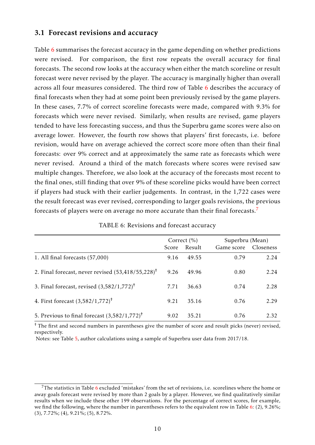### 3.1 Forecast revisions and accuracy

Table [6](#page-11-0) summarises the forecast accuracy in the game depending on whether predictions were revised. For comparison, the first row repeats the overall accuracy for final forecasts. The second row looks at the accuracy when either the match scoreline or result forecast were never revised by the player. The accuracy is marginally higher than overall across all four measures considered. The third row of Table [6](#page-11-0) describes the accuracy of final forecasts when they had at some point been previously revised by the game players. In these cases, 7.7% of correct scoreline forecasts were made, compared with 9.3% for forecasts which were never revised. Similarly, when results are revised, game players tended to have less forecasting success, and thus the Superbru game scores were also on average lower. However, the fourth row shows that players' first forecasts, i.e. before revision, would have on average achieved the correct score more often than their final forecasts: over 9% correct and at approximately the same rate as forecasts which were never revised. Around a third of the match forecasts where scores were revised saw multiple changes. Therefore, we also look at the accuracy of the forecasts most recent to the final ones, still finding that over 9% of these scoreline picks would have been correct if players had stuck with their earlier judgements. In contrast, in the 1,722 cases were the result forecast was ever revised, corresponding to larger goals revisions, the previous forecasts of players were on average no more accurate than their final forecasts.<sup>[7](#page-11-1)</sup>

|  |  | TABLE 6: Revisions and forecast accuracy |  |
|--|--|------------------------------------------|--|
|--|--|------------------------------------------|--|

<span id="page-11-0"></span>

|                                                              | Score | Correct $(\% )$<br>Result |      | Superbru (Mean)<br>Closeness<br>Game score |  |  |
|--------------------------------------------------------------|-------|---------------------------|------|--------------------------------------------|--|--|
| 1. All final forecasts (57,000)                              | 9.16  | 49.55                     | 0.79 | 2.24                                       |  |  |
| 2. Final forecast, never revised $(53,418/55,228)^{\dagger}$ | 9.26  | 49.96                     | 0.80 | 2.24                                       |  |  |
| 3. Final forecast, revised $(3,582/1,772)^{+}$               | 7.71  | 36.63                     | 0.74 | 2.28                                       |  |  |
| 4. First forecast $(3,582/1,772)^{+}$                        | 9.21  | 35.16                     | 0.76 | 2.29                                       |  |  |
| 5. Previous to final forecast $(3,582/1,772)^{\dagger}$      | 9.02  | 35.21                     | 0.76 | 2.32                                       |  |  |

† The first and second numbers in parentheses give the number of score and result picks (never) revised, respectively.

<span id="page-11-1"></span> $7$ The statistics in Table [6](#page-11-0) excluded 'mistakes' from the set of revisions, i.e. scorelines where the home or away goals forecast were revised by more than 2 goals by a player. However, we find qualitatively similar results when we include these other 199 observations. For the percentage of correct scores, for example, we find the following, where the number in parentheses refers to the equivalent row in Table [6:](#page-11-0) (2), 9.26%; (3), 7.72%; (4), 9.21%; (5), 8.72%.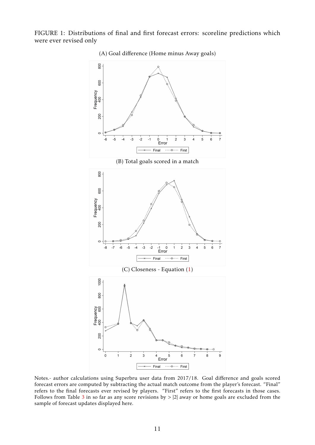<span id="page-12-0"></span>FIGURE 1: Distributions of final and first forecast errors: scoreline predictions which were ever revised only



Notes.- author calculations using Superbru user data from 2017/18. Goal difference and goals scored forecast errors are computed by subtracting the actual match outcome from the player's forecast. "Final" refers to the final forecasts ever revised by players. "First" refers to the first forecasts in those cases. Follows from Table [3](#page-9-1) in so far as any score revisions by *>* |2| away or home goals are excluded from the sample of forecast updates displayed here.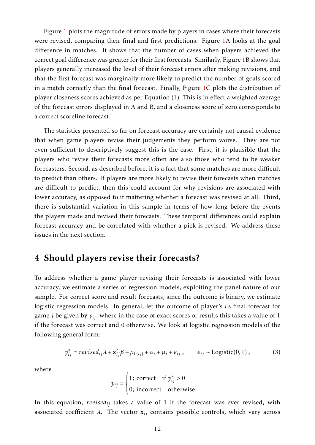Figure [1](#page-12-0) plots the magnitude of errors made by players in cases where their forecasts were revised, comparing their final and first predictions. Figure [1A](#page-12-0) looks at the goal difference in matches. It shows that the number of cases when players achieved the correct goal difference was greater for their first forecasts. Similarly, Figure [1B](#page-12-0) shows that players generally increased the level of their forecast errors after making revisions, and that the first forecast was marginally more likely to predict the number of goals scored in a match correctly than the final forecast. Finally, Figure [1C](#page-12-0) plots the distribution of player closeness scores achieved as per Equation [\(1\)](#page-5-1). This is in effect a weighted average of the forecast errors displayed in A and B, and a closeness score of zero corresponds to a correct scoreline forecast.

The statistics presented so far on forecast accuracy are certainly not causal evidence that when game players revise their judgements they perform worse. They are not even sufficient to descriptively suggest this is the case. First, it is plausible that the players who revise their forecasts more often are also those who tend to be weaker forecasters. Second, as described before, it is a fact that some matches are more difficult to predict than others. If players are more likely to revise their forecasts when matches are difficult to predict, then this could account for why revisions are associated with lower accuracy, as opposed to it mattering whether a forecast was revised at all. Third, there is substantial variation in this sample in terms of how long before the events the players made and revised their forecasts. These temporal differences could explain forecast accuracy and be correlated with whether a pick is revised. We address these issues in the next section.

## <span id="page-13-0"></span>4 Should players revise their forecasts?

To address whether a game player revising their forecasts is associated with lower accuracy, we estimate a series of regression models, exploiting the panel nature of our sample. For correct score and result forecasts, since the outcome is binary, we estimate logistic regression models. In general, let the outcome of player's *i*'s final forecast for game *j* be given by *yij*, where in the case of exact scores or results this takes a value of 1 if the forecast was correct and 0 otherwise. We look at logistic regression models of the following general form:

<span id="page-13-1"></span>
$$
y_{ij}^* = revised_{ij}\lambda + \mathbf{x}_{ij}'\boldsymbol{\beta} + \rho_{L(ij)} + \alpha_i + \mu_j + \epsilon_{ij} , \qquad \epsilon_{ij} \sim \text{Logistic}(0,1) ,
$$
 (3)

where

$$
y_{ij} = \begin{cases} 1; \text{ correct} & \text{if } y_{ij}^* > 0 \\ 0; \text{ incorrect} & \text{otherwise.} \end{cases}
$$

In this equation, *revisedij* takes a value of 1 if the forecast was ever revised, with associated coefficient  $\lambda$ . The vector  $\mathbf{x}_{ij}$  contains possible controls, which vary across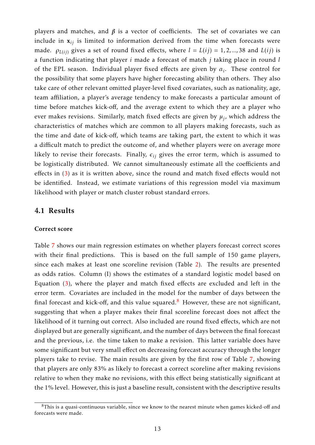players and matches, and  $β$  is a vector of coefficients. The set of covariates we can include in  $x_{ij}$  is limited to information derived from the time when forecasts were made.  $\rho_{L(ij)}$  gives a set of round fixed effects, where  $l = L(ij) = 1, 2, ..., 38$  and  $L(ij)$  is a function indicating that player *i* made a forecast of match *j* taking place in round *l* of the EPL season. Individual player fixed effects are given by *α<sup>i</sup>* . These control for the possibility that some players have higher forecasting ability than others. They also take care of other relevant omitted player-level fixed covariates, such as nationality, age, team affiliation, a player's average tendency to make forecasts a particular amount of time before matches kick-off, and the average extent to which they are a player who ever makes revisions. Similarly, match fixed effects are given by  $\mu_j$ , which address the characteristics of matches which are common to all players making forecasts, such as the time and date of kick-off, which teams are taking part, the extent to which it was a difficult match to predict the outcome of, and whether players were on average more likely to revise their forecasts. Finally,  $\epsilon_{ij}$  gives the error term, which is assumed to be logistically distributed. We cannot simultaneously estimate all the coefficients and effects in [\(3\)](#page-13-1) as it is written above, since the round and match fixed effects would not be identified. Instead, we estimate variations of this regression model via maximum likelihood with player or match cluster robust standard errors.

#### 4.1 Results

#### Correct score

Table [7](#page-15-0) shows our main regression estimates on whether players forecast correct scores with their final predictions. This is based on the full sample of 150 game players, since each makes at least one scoreline revision (Table [2\)](#page-9-0). The results are presented as odds ratios. Column (I) shows the estimates of a standard logistic model based on Equation [\(3\)](#page-13-1), where the player and match fixed effects are excluded and left in the error term. Covariates are included in the model for the number of days between the final forecast and kick-off, and this value squared.<sup>[8](#page-14-0)</sup> However, these are not significant, suggesting that when a player makes their final scoreline forecast does not affect the likelihood of it turning out correct. Also included are round fixed effects, which are not displayed but are generally significant, and the number of days between the final forecast and the previous, i.e. the time taken to make a revision. This latter variable does have some significant but very small effect on decreasing forecast accuracy through the longer players take to revise. The main results are given by the first row of Table [7,](#page-15-0) showing that players are only 83% as likely to forecast a correct scoreline after making revisions relative to when they make no revisions, with this effect being statistically significant at the 1% level. However, this is just a baseline result, consistent with the descriptive results

<span id="page-14-0"></span> $8$ This is a quasi-continuous variable, since we know to the nearest minute when games kicked-off and forecasts were made.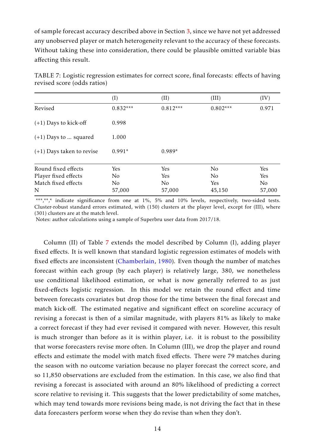of sample forecast accuracy described above in Section [3,](#page-10-2) since we have not yet addressed any unobserved player or match heterogeneity relevant to the accuracy of these forecasts. Without taking these into consideration, there could be plausible omitted variable bias affecting this result.

<span id="page-15-0"></span>

|                             | (I)            | (II)           | (III)          | (IV)           |
|-----------------------------|----------------|----------------|----------------|----------------|
| Revised                     | $0.832***$     | $0.812***$     | $0.802***$     | 0.971          |
| $(+1)$ Days to kick-off     | 0.998          |                |                |                |
| $(+1)$ Days to  squared     | 1.000          |                |                |                |
| $(+1)$ Days taken to revise | $0.991*$       | $0.989*$       |                |                |
| Round fixed effects         | Yes            | Yes            | N <sub>o</sub> | Yes            |
| Player fixed effects        | No             | Yes            | No             | Yes            |
| Match fixed effects         | N <sub>o</sub> | N <sub>o</sub> | Yes            | N <sub>o</sub> |
| N                           | 57,000         | 57,000         | 45,150         | 57,000         |

TABLE 7: Logistic regression estimates for correct score, final forecasts: effects of having revised score (odds ratios)

\*\*\*,\*\*,\* indicate significance from one at 1%, 5% and 10% levels, respectively, two-sided tests. Cluster-robust standard errors estimated, with (150) clusters at the player level, except for (III), where (301) clusters are at the match level.

Notes: author calculations using a sample of Superbru user data from 2017/18.

Column (II) of Table [7](#page-15-0) extends the model described by Column (I), adding player fixed effects. It is well known that standard logistic regression estimates of models with fixed effects are inconsistent [\(Chamberlain,](#page-22-15) [1980\)](#page-22-15). Even though the number of matches forecast within each group (by each player) is relatively large, 380, we nonetheless use conditional likelihood estimation, or what is now generally referred to as just fixed-effects logistic regression. In this model we retain the round effect and time between forecasts covariates but drop those for the time between the final forecast and match kick-off. The estimated negative and significant effect on scoreline accuracy of revising a forecast is then of a similar magnitude, with players 81% as likely to make a correct forecast if they had ever revised it compared with never. However, this result is much stronger than before as it is within player, i.e. it is robust to the possibility that worse forecasters revise more often. In Column (III), we drop the player and round effects and estimate the model with match fixed effects. There were 79 matches during the season with no outcome variation because no player forecast the correct score, and so 11,850 observations are excluded from the estimation. In this case, we also find that revising a forecast is associated with around an 80% likelihood of predicting a correct score relative to revising it. This suggests that the lower predictability of some matches, which may tend towards more revisions being made, is not driving the fact that in these data forecasters perform worse when they do revise than when they don't.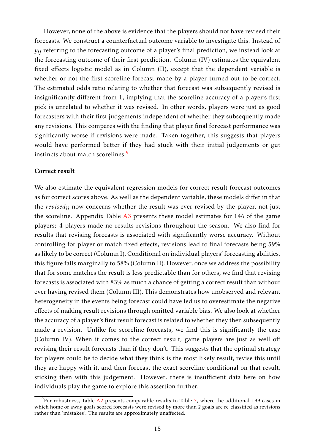However, none of the above is evidence that the players should not have revised their forecasts. We construct a counterfactual outcome variable to investigate this. Instead of *yij* referring to the forecasting outcome of a player's final prediction, we instead look at the forecasting outcome of their first prediction. Column (IV) estimates the equivalent fixed effects logistic model as in Column (II), except that the dependent variable is whether or not the first scoreline forecast made by a player turned out to be correct. The estimated odds ratio relating to whether that forecast was subsequently revised is insignificantly different from 1, implying that the scoreline accuracy of a player's first pick is unrelated to whether it was revised. In other words, players were just as good forecasters with their first judgements independent of whether they subsequently made any revisions. This compares with the finding that player final forecast performance was significantly worse if revisions were made. Taken together, this suggests that players would have performed better if they had stuck with their initial judgements or gut instincts about match scorelines.<sup>[9](#page-16-0)</sup>

#### Correct result

We also estimate the equivalent regression models for correct result forecast outcomes as for correct scores above. As well as the dependent variable, these models differ in that the *revisedij* now concerns whether the result was ever revised by the player, not just the scoreline. Appendix Table [A3](#page-25-0) presents these model estimates for 146 of the game players; 4 players made no results revisions throughout the season. We also find for results that revising forecasts is associated with significantly worse accuracy. Without controlling for player or match fixed effects, revisions lead to final forecasts being 59% as likely to be correct (Column I). Conditional on individual players' forecasting abilities, this figure falls marginally to 58% (Column II). However, once we address the possibility that for some matches the result is less predictable than for others, we find that revising forecasts is associated with 83% as much a chance of getting a correct result than without ever having revised them (Column III). This demonstrates how unobserved and relevant heterogeneity in the events being forecast could have led us to overestimate the negative effects of making result revisions through omitted variable bias. We also look at whether the accuracy of a player's first result forecast is related to whether they then subsequently made a revision. Unlike for scoreline forecasts, we find this is significantly the case (Column IV). When it comes to the correct result, game players are just as well off revising their result forecasts than if they don't. This suggests that the optimal strategy for players could be to decide what they think is the most likely result, revise this until they are happy with it, and then forecast the exact scoreline conditional on that result, sticking then with this judgement. However, there is insufficient data here on how individuals play the game to explore this assertion further.

<span id="page-16-0"></span> $9$ For robustness, Table [A2](#page-24-1) presents comparable results to Table [7,](#page-15-0) where the additional 199 cases in which home or away goals scored forecasts were revised by more than 2 goals are re-classified as revisions rather than 'mistakes'. The results are approximately unaffected.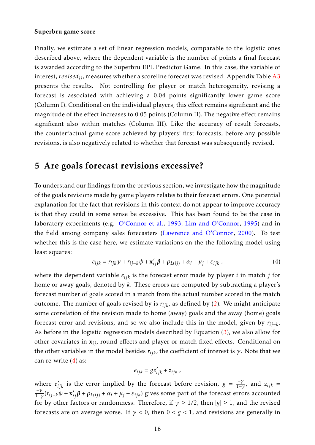#### Superbru game score

Finally, we estimate a set of linear regression models, comparable to the logistic ones described above, where the dependent variable is the number of points a final forecast is awarded according to the Superbru EPL Predictor Game. In this case, the variable of interest, *revisedij*, measures whether a scoreline forecast was revised. Appendix Table [A3](#page-25-0) presents the results. Not controlling for player or match heterogeneity, revising a forecast is associated with achieving a 0.04 points significantly lower game score (Column I). Conditional on the individual players, this effect remains significant and the magnitude of the effect increases to 0.05 points (Column II). The negative effect remains significant also within matches (Column III). Like the accuracy of result forecasts, the counterfactual game score achieved by players' first forecasts, before any possible revisions, is also negatively related to whether that forecast was subsequently revised.

## 5 Are goals forecast revisions excessive?

To understand our findings from the previous section, we investigate how the magnitude of the goals revisions made by game players relates to their forecast errors. One potential explanation for the fact that revisions in this context do not appear to improve accuracy is that they could in some sense be excessive. This has been found to be the case in laboratory experiments (e.g. [O'Connor et al.,](#page-23-0) [1993;](#page-23-0) [Lim and O'Connor,](#page-23-2) [1995\)](#page-23-2) and in the field among company sales forecasters [\(Lawrence and O'Connor,](#page-23-3) [2000\)](#page-23-3). To test whether this is the case here, we estimate variations on the the following model using least squares:

<span id="page-17-0"></span>
$$
e_{ijk} = r_{ijk}\gamma + r_{ij-k}\psi + \mathbf{x}'_{ij}\boldsymbol{\beta} + \rho_{L(ij)} + \alpha_i + \mu_j + \varepsilon_{ijk} \,, \tag{4}
$$

where the dependent variable *eijk* is the forecast error made by player *i* in match *j* for home or away goals, denoted by *k*. These errors are computed by subtracting a player's forecast number of goals scored in a match from the actual number scored in the match outcome. The number of goals revised by is  $r_{ijk}$ , as defined by [\(2\)](#page-7-1). We might anticipate some correlation of the revision made to home (away) goals and the away (home) goals forecast error and revisions, and so we also include this in the model, given by *rij*−*<sup>k</sup>* . As before in the logistic regression models described by Equation [\(3\)](#page-13-1), we also allow for other covariates in x*ij*, round effects and player or match fixed effects. Conditional on the other variables in the model besides  $r_{iik}$ , the coefficient of interest is  $\gamma$ . Note that we can re-write  $(4)$  as:

$$
e_{ijk} = g e'_{ijk} + z_{ijk},
$$

where  $e'_{ijk}$  is the error implied by the forecast before revision,  $g = \frac{-\gamma}{1-\gamma}$  $\frac{-\gamma}{1-\gamma}$ , and  $z_{ijk}$  = −*γ*  $\frac{-\gamma}{1-\gamma}(r_{ij-k}\psi + \mathbf{x}'_{ij}\boldsymbol{\beta} + \rho_{L(ij)} + \alpha_i + \mu_j + \varepsilon_{ijk})$  gives some part of the forecast errors accounted for by other factors or randomness. Therefore, if  $\gamma \geq 1/2$ , then  $|g| \geq 1$ , and the revised forecasts are on average worse. If  $\gamma$  < 0, then  $0 < g < 1$ , and revisions are generally in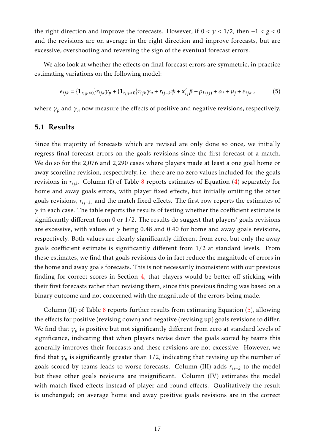the right direction and improve the forecasts. However, if 0 *< γ <* 1*/*2, then −1 *< g <* 0 and the revisions are on average in the right direction and improve forecasts, but are excessive, overshooting and reversing the sign of the eventual forecast errors.

We also look at whether the effects on final forecast errors are symmetric, in practice estimating variations on the following model:

<span id="page-18-0"></span>
$$
e_{ijk} = \{ \mathbf{1}_{r_{ijk} > 0} \} r_{ijk} \gamma_p + \{ \mathbf{1}_{r_{ijk} < 0} \} r_{ijk} \gamma_n + r_{ij-k} \psi + \mathbf{x}'_{ij} \beta + \rho_{L(ij)} + \alpha_i + \mu_j + \varepsilon_{ijk} \,, \tag{5}
$$

where  $\gamma_p$  and  $\gamma_n$  now measure the effects of positive and negative revisions, respectively.

#### 5.1 Results

Since the majority of forecasts which are revised are only done so once, we initially regress final forecast errors on the goals revisions since the first forecast of a match. We do so for the 2,076 and 2,290 cases where players made at least a one goal home or away scoreline revision, respectively, i.e. there are no zero values included for the goals revisions in *rijk*. Column (I) of Table [8](#page-21-0) reports estimates of Equation [\(4\)](#page-17-0) separately for home and away goals errors, with player fixed effects, but initially omitting the other goals revisions, *rij*−*<sup>k</sup>* , and the match fixed effects. The first row reports the estimates of  $\gamma$  in each case. The table reports the results of testing whether the coefficient estimate is significantly different from 0 or 1/2. The results do suggest that players' goals revisions are excessive, with values of  $\gamma$  being 0.48 and 0.40 for home and away goals revisions, respectively. Both values are clearly significantly different from zero, but only the away goals coefficient estimate is significantly different from 1/2 at standard levels. From these estimates, we find that goals revisions do in fact reduce the magnitude of errors in the home and away goals forecasts. This is not necessarily inconsistent with our previous finding for correct scores in Section [4,](#page-13-0) that players would be better off sticking with their first forecasts rather than revising them, since this previous finding was based on a binary outcome and not concerned with the magnitude of the errors being made.

Column (II) of Table [8](#page-21-0) reports further results from estimating Equation [\(5\)](#page-18-0), allowing the effects for positive (revising down) and negative (revising up) goals revisions to differ. We find that *γ<sup>p</sup>* is positive but not significantly different from zero at standard levels of significance, indicating that when players revise down the goals scored by teams this generally improves their forecasts and these revisions are not excessive. However, we find that  $\gamma_n$  is significantly greater than 1/2, indicating that revising up the number of goals scored by teams leads to worse forecasts. Column (III) adds *rij*−*<sup>k</sup>* to the model but these other goals revisions are insignificant. Column (IV) estimates the model with match fixed effects instead of player and round effects. Qualitatively the result is unchanged; on average home and away positive goals revisions are in the correct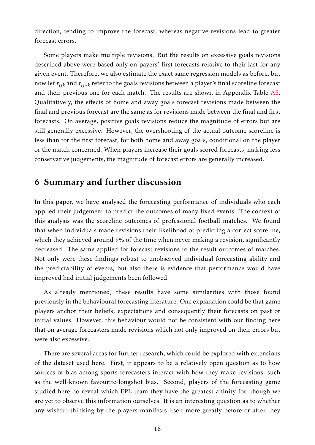direction, tending to improve the forecast, whereas negative revisions lead to greater forecast errors.

Some players make multiple revisions. But the results on excessive goals revisions described above were based only on payers' first forecasts relative to their last for any given event. Therefore, we also estimate the exact same regression models as before, but now let *rijk* and *rij*−*<sup>k</sup>* refer to the goals revisions between a player's final scoreline forecast and their previous one for each match. The results are shown in Appendix Table [A5.](#page-26-0) Qualitatively, the effects of home and away goals forecast revisions made between the final and previous forecast are the same as for revisions made between the final and first forecasts. On average, positive goals revisions reduce the magnitude of errors but are still generally excessive. However, the overshooting of the actual outcome scoreline is less than for the first forecast, for both home and away goals, conditional on the player or the match concerned. When players increase their goals scored forecasts, making less conservative judgements, the magnitude of forecast errors are generally increased.

### 6 Summary and further discussion

In this paper, we have analysed the forecasting performance of individuals who each applied their judgement to predict the outcomes of many fixed events. The context of this analysis was the scoreline outcomes of professional football matches. We found that when individuals made revisions their likelihood of predicting a correct scoreline, which they achieved around 9% of the time when never making a revision, significantly decreased. The same applied for forecast revisions to the result outcomes of matches. Not only were these findings robust to unobserved individual forecasting ability and the predictability of events, but also there is evidence that performance would have improved had initial judgements been followed.

As already mentioned, these results have some similarities with those found previously in the behavioural forecasting literature. One explanation could be that game players anchor their beliefs, expectations and consequently their forecasts on past or initial values. However, this behaviour would not be consistent with our finding here that on average forecasters made revisions which not only improved on their errors but were also excessive.

There are several areas for further research, which could be explored with extensions of the dataset used here. First, it appears to be a relatively open question as to how sources of bias among sports forecasters interact with how they make revisions, such as the well-known favourite-longshot bias. Second, players of the forecasting game studied here do reveal which EPL team they have the greatest affinity for, though we are yet to observe this information ourselves. It is an interesting question as to whether any wishful-thinking by the players manifests itself more greatly before or after they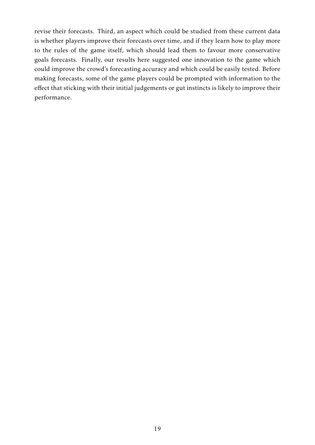revise their forecasts. Third, an aspect which could be studied from these current data is whether players improve their forecasts over time, and if they learn how to play more to the rules of the game itself, which should lead them to favour more conservative goals forecasts. Finally, our results here suggested one innovation to the game which could improve the crowd's forecasting accuracy and which could be easily tested. Before making forecasts, some of the game players could be prompted with information to the effect that sticking with their initial judgements or gut instincts is likely to improve their performance.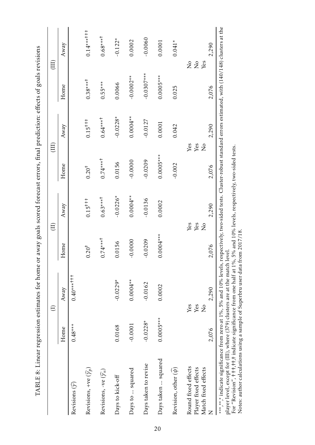|                                                                                                                                                                                                                                                                                                                                                                                                                                                         |             | $\ominus$                    | $\left( \mathrm{II}\right)$  |              | $\left( \mathrm{III}\right)$   |              |              | $\rm(HI)$                   |
|---------------------------------------------------------------------------------------------------------------------------------------------------------------------------------------------------------------------------------------------------------------------------------------------------------------------------------------------------------------------------------------------------------------------------------------------------------|-------------|------------------------------|------------------------------|--------------|--------------------------------|--------------|--------------|-----------------------------|
|                                                                                                                                                                                                                                                                                                                                                                                                                                                         | Home        | Away                         | Home                         | Away         | Home                           | Away         | Home         | Away                        |
| Revisions $(\widehat{\mathcal{V}})$                                                                                                                                                                                                                                                                                                                                                                                                                     | $0.48***$   | $0.40******$                 |                              |              |                                |              |              |                             |
| Revisions, +ve $(\widehat{\gamma}_p)$                                                                                                                                                                                                                                                                                                                                                                                                                   |             |                              | $0.20^{+}$                   | $0.15^{+++}$ | $0.20^{+}$                     | $0.15^{+++}$ | $0.38***$    | $0.14***$ <sup>++++</sup>   |
| Revisions, -ve $(\widehat{\gamma}_n)$                                                                                                                                                                                                                                                                                                                                                                                                                   |             |                              | $0.74***$                    | $0.63***$    | $0.74***$                      | $0.64***$    | $0.55***$    | $0.68***$                   |
| Days to kick-off                                                                                                                                                                                                                                                                                                                                                                                                                                        | 0.0168      | $-0.0229*$                   | 0.0156                       | $-0.0226*$   | 0.0156                         | $-0.0228*$   | 0.0066       | $-0.122*$                   |
| Days to  squared                                                                                                                                                                                                                                                                                                                                                                                                                                        | $-0.0001$   | $0.0004**$                   | $-0.0000$                    | $0.0004**$   | $-0.0000$                      | $0.0004**$   | $-0.0002**$  | 0.0002                      |
| Days taken to revise                                                                                                                                                                                                                                                                                                                                                                                                                                    | $-0.0228*$  | $-0.0162$                    | $-0.0209$                    | $-0.0136$    | $-0.0209$                      | $-0.0127$    | $-0.0307$ ** | $-0.0060$                   |
| Days taken  squared                                                                                                                                                                                                                                                                                                                                                                                                                                     | $0.0005***$ | 0.0002                       | $0.0004***$                  | 0.0002       | $0.0005***$                    | 0.0001       | $0.0005***$  | 0.0001                      |
| Revision, other $(\psi)$                                                                                                                                                                                                                                                                                                                                                                                                                                |             |                              |                              |              | $-0.002$                       | 0.042        | 0.025        | $0.041*$                    |
| Round fixed effects<br>Player fixed effects<br>Match fixed effects                                                                                                                                                                                                                                                                                                                                                                                      |             | Yes<br>Yes<br>$\overline{S}$ | Yes<br>Yes<br>$\overline{z}$ |              | Yes<br>Yes<br>$\sum_{i=1}^{n}$ |              |              | $\frac{1}{2}$<br><b>Nes</b> |
|                                                                                                                                                                                                                                                                                                                                                                                                                                                         | 2,076       | 2,290                        | 2,076                        | 2,290        | 2,076                          | 2,290        | 2,076        | 2,290                       |
| ***,* *.* indicate significance from zero at 1%, 5% and 10% levels, respectively, two-sided tests. Cluster-robust standard errors estimated, with (140/148) clusters at the<br>For "Revision", +++,++,+ indicate significance from one half at 1%, 5% and 10% levels, respectively, two-sided tests.<br>player level, except for (III), where (379) clusters are at the match level.<br>Notes: author calculations using a sample of Superbru user data |             |                              | from 2017/18.                |              |                                |              |              |                             |

<span id="page-21-0"></span>final prodiction: offects of goals revisions ffects of goals revisions TABLE 8: Linear regression estimates for home or away goals scored forecast errors, final prediction: e COOL OFFORD cale economica  $\ddot{\cdot}$ aroccion octimator for homo  $T$ ARIE Q. I;noar ro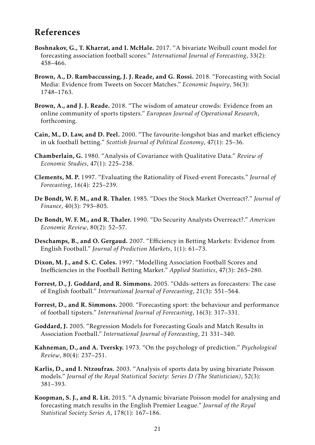# References

- <span id="page-22-14"></span>Boshnakov, G., T. Kharrat, and I. McHale. 2017. "A bivariate Weibull count model for forecasting association football scores." *International Journal of Forecasting*, 33(2): 458–466.
- <span id="page-22-2"></span>Brown, A., D. Rambaccussing, J. J. Reade, and G. Rossi. 2018. "Forecasting with Social Media: Evidence from Tweets on Soccer Matches." *Economic Inquiry*, 56(3): 1748–1763.
- <span id="page-22-3"></span>Brown, A., and J. J. Reade. 2018. "The wisdom of amateur crowds: Evidence from an online community of sports tipsters." *European Journal of Operational Research*, forthcoming.
- <span id="page-22-4"></span>Cain, M., D. Law, and D. Peel. 2000. "The favourite-longshot bias and market efficiency in uk football betting." *Scottish Journal of Political Economy*, 47(1): 25–36.
- <span id="page-22-15"></span>Chamberlain, G. 1980. "Analysis of Covariance with Qualitative Data." *Review of Economic Studies*, 47(1): 225–238.
- <span id="page-22-6"></span>Clements, M. P. 1997. "Evaluating the Rationality of Fixed-event Forecasts." *Journal of Forecasting*, 16(4): 225–239.
- <span id="page-22-8"></span>De Bondt, W. F. M., and R. Thaler. 1985. "Does the Stock Market Overreact?." *Journal of Finance*, 40(3): 793–805.
- <span id="page-22-9"></span>De Bondt, W. F. M., and R. Thaler. 1990. "Do Security Analysts Overreact?." *American Economic Review*, 80(2): 52–57.
- <span id="page-22-5"></span>Deschamps, B., and O. Gergaud. 2007. "Efficiency in Betting Markets: Evidence from English Football." *Journal of Prediction Markets*, 1(1): 61–73.
- <span id="page-22-10"></span>Dixon, M. J., and S. C. Coles. 1997. "Modelling Association Football Scores and Inefficiencies in the Football Betting Market." *Applied Statistics*, 47(3): 265–280.
- <span id="page-22-0"></span>Forrest, D., J. Goddard, and R. Simmons. 2005. "Odds-setters as forecasters: The case of English football." *International Journal of Forecasting*, 21(3): 551–564.
- <span id="page-22-1"></span>Forrest, D., and R. Simmons. 2000. "Forecasting sport: the behaviour and performance of football tipsters." *International Journal of Forecasting*, 16(3): 317–331.
- <span id="page-22-12"></span>Goddard, J. 2005. "Regression Models for Forecasting Goals and Match Results in Association Football." *International Journal of Forecasting*, 21 331–340.
- <span id="page-22-7"></span>Kahneman, D., and A. Tversky. 1973. "On the psychology of prediction." *Psychological Review*, 80(4): 237–251.
- <span id="page-22-11"></span>Karlis, D., and I. Ntzoufras. 2003. "Analysis of sports data by using bivariate Poisson models." *Journal of the Royal Statistical Society: Series D (The Statistician)*, 52(3): 381–393.
- <span id="page-22-13"></span>Koopman, S. J., and R. Lit. 2015. "A dynamic bivariate Poisson model for analysing and forecasting match results in the English Premier League." *Journal of the Royal Statistical Society Series A*, 178(1): 167–186.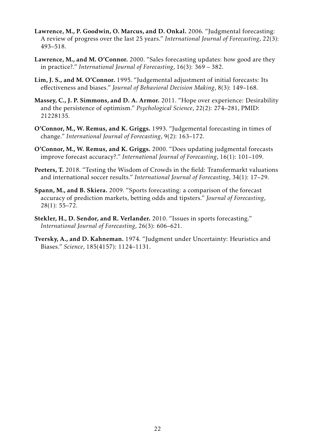- <span id="page-23-8"></span>Lawrence, M., P. Goodwin, O. Marcus, and D. Onkal. 2006. "Judgmental forecasting: A review of progress over the last 25 years." *International Journal of Forecasting*, 22(3): 493–518.
- <span id="page-23-3"></span>Lawrence, M., and M. O'Connor. 2000. "Sales forecasting updates: how good are they in practice?." *International Journal of Forecasting*, 16(3): 369 – 382.
- <span id="page-23-2"></span>Lim, J. S., and M. O'Connor. 1995. "Judgemental adjustment of initial forecasts: Its effectiveness and biases." *Journal of Behavioral Decision Making*, 8(3): 149–168.
- <span id="page-23-6"></span>Massey, C., J. P. Simmons, and D. A. Armor. 2011. "Hope over experience: Desirability and the persistence of optimism." *Psychological Science*, 22(2): 274–281, PMID: 21228135.
- <span id="page-23-0"></span>O'Connor, M., W. Remus, and K. Griggs. 1993. "Judgemental forecasting in times of change." *International Journal of Forecasting*, 9(2): 163–172.
- <span id="page-23-1"></span>O'Connor, M., W. Remus, and K. Griggs. 2000. "Does updating judgmental forecasts improve forecast accuracy?." *International Journal of Forecasting*, 16(1): 101–109.
- <span id="page-23-5"></span>Peeters, T. 2018. "Testing the Wisdom of Crowds in the field: Transfermarkt valuations and international soccer results." *International Journal of Forecasting*, 34(1): 17–29.
- <span id="page-23-4"></span>Spann, M., and B. Skiera. 2009. "Sports forecasting: a comparison of the forecast accuracy of prediction markets, betting odds and tipsters." *Journal of Forecasting*, 28(1): 55–72.
- <span id="page-23-9"></span>Stekler, H., D. Sendor, and R. Verlander. 2010. "Issues in sports forecasting." *International Journal of Forecasting*, 26(3): 606–621.
- <span id="page-23-7"></span>Tversky, A., and D. Kahneman. 1974. "Judgment under Uncertainty: Heuristics and Biases." *Science*, 185(4157): 1124–1131.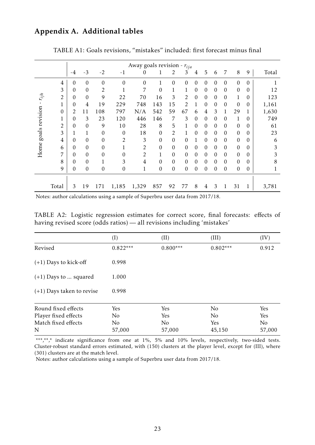### Appendix A. Additional tables

<span id="page-24-0"></span>

|                |                  |                |                  |                  |                  | Away goals revision - $r_{ija}$ |                  |                  |                  |                  |                  |                  |                  |                  |          |              |
|----------------|------------------|----------------|------------------|------------------|------------------|---------------------------------|------------------|------------------|------------------|------------------|------------------|------------------|------------------|------------------|----------|--------------|
|                |                  | $-4$           | $-3$             | $-2$             | $-1$             | $\boldsymbol{0}$                | 1                | 2                | 3                | 4                | 5                | 6                | 7                | 8                | 9        | Total        |
|                | $\overline{4}$   | 0              | 0                | $\mathbf{0}$     | $\boldsymbol{0}$ | $\boldsymbol{0}$                | $\mathbf{1}$     | $\mathbf{0}$     | $\mathbf{0}$     | $\boldsymbol{0}$ | 0                | 0                | $\boldsymbol{0}$ | $\mathbf{0}$     | $\theta$ | 1            |
|                | 3                | $\overline{0}$ | 0                | $\overline{2}$   | T                | 7                               | $\boldsymbol{0}$ | $\mathbf{1}$     | $\mathbf{1}$     | 0                | $\boldsymbol{0}$ | 0                | $\boldsymbol{0}$ | $\mathbf{0}$     | 0        | 12           |
| $r_{ijh}$      | $\overline{c}$   | 0              | 0                | 9                | 22               | 70                              | 16               | 3                | $\overline{2}$   | $\boldsymbol{0}$ | $\boldsymbol{0}$ | 0                | $\boldsymbol{0}$ | $\mathbf{1}$     | 0        | 123          |
|                | $\mathbf{1}$     | 0              | $\overline{4}$   | 19               | 229              | 748                             | 143              | 15               | $\overline{2}$   | 1                | $\boldsymbol{0}$ | 0                | $\boldsymbol{0}$ | 0                | 0        | 1,161        |
| goals revision | $\boldsymbol{0}$ | $\overline{2}$ | 11               | 108              | 797              | N/A                             | 542              | 59               | 67               | 6                | $\overline{4}$   | 3                | $\mathbf{1}$     | 29               |          | 1,630        |
|                | $\mathbf{1}$     | 0              | 3                | 23               | 120              | 446                             | 146              | 7                | 3                | $\boldsymbol{0}$ | $\boldsymbol{0}$ | 0                | $\boldsymbol{0}$ | $\mathbf{1}$     | 0        | 749          |
|                | $\overline{2}$   | 0              | 0                | 9                | 10               | 28                              | 8                | 5                | $\mathbf{1}$     | $\boldsymbol{0}$ | $\boldsymbol{0}$ | 0                | 0                | $\mathbf{0}$     | 0        | 61           |
|                | 3                | 1              | 1                | $\mathbf{0}$     | $\boldsymbol{0}$ | 18                              | $\boldsymbol{0}$ | $\overline{2}$   | $\mathbf{1}$     | $\boldsymbol{0}$ | $\boldsymbol{0}$ | 0                | $\boldsymbol{0}$ | $\boldsymbol{0}$ | 0        | 23           |
|                | $\overline{4}$   | 0              | 0                | $\boldsymbol{0}$ | $\overline{2}$   | $\mathfrak{Z}$                  | $\boldsymbol{0}$ | $\boldsymbol{0}$ | $\mathbf{0}$     | 1                | $\boldsymbol{0}$ | 0                | $\boldsymbol{0}$ | $\mathbf{0}$     | 0        | 6            |
| Home           | 6                | 0              | 0                | $\mathbf{0}$     | $\mathbf{1}$     | $\overline{2}$                  | $\boldsymbol{0}$ | $\mathbf{0}$     | $\mathbf{0}$     | $\theta$         | $\boldsymbol{0}$ | $\overline{0}$   | 0                | $\mathbf{0}$     | 0        | 3            |
|                | 7                | $\overline{0}$ | 0                | $\theta$         | $\boldsymbol{0}$ | $\overline{2}$                  | $\mathbf{1}$     | $\boldsymbol{0}$ | $\mathbf{0}$     | $\theta$         | $\boldsymbol{0}$ | $\overline{0}$   | $\boldsymbol{0}$ | $\mathbf{0}$     | 0        | 3            |
|                | 8                | 0              | 0                | $\mathbf{1}$     | 3                | $\overline{4}$                  | $\boldsymbol{0}$ | $\boldsymbol{0}$ | $\mathbf{0}$     | $\boldsymbol{0}$ | $\boldsymbol{0}$ | $\mathbf{0}$     | 0                | $\boldsymbol{0}$ | 0        | 8            |
|                | 9                | 0              | $\boldsymbol{0}$ | $\boldsymbol{0}$ | $\boldsymbol{0}$ | $\mathbf{1}$                    | $\boldsymbol{0}$ | $\boldsymbol{0}$ | $\boldsymbol{0}$ | $\boldsymbol{0}$ | $\boldsymbol{0}$ | $\boldsymbol{0}$ | $\boldsymbol{0}$ | $\boldsymbol{0}$ | 0        | $\mathbf{1}$ |
|                |                  |                |                  |                  |                  |                                 |                  |                  |                  |                  |                  |                  |                  |                  |          |              |
|                | Total            | 3              | 19               | 171              | 1,185            | 1,329                           | 857              | 92               | 77               | 8                | $\overline{4}$   | 3                | $\mathbf{1}$     | 31               |          | 3,781        |

TABLE A1: Goals revisions, "mistakes" included: first forecast minus final

Notes: author calculations using a sample of Superbru user data from 2017/18.

TABLE A2: Logistic regression estimates for correct score, final forecasts: effects of having revised score (odds ratios) — all revisions including 'mistakes'

<span id="page-24-1"></span>

|                             | (I)        | (II)       | (III)      | (IV)           |
|-----------------------------|------------|------------|------------|----------------|
| Revised                     | $0.822***$ | $0.800***$ | $0.802***$ | 0.912          |
| $(+1)$ Days to kick-off     | 0.998      |            |            |                |
| $(+1)$ Days to  squared     | 1.000      |            |            |                |
| $(+1)$ Days taken to revise | 0.998      |            |            |                |
| Round fixed effects         | Yes        | Yes        | No         | Yes            |
| Player fixed effects        | No         | Yes        | No         | Yes            |
| Match fixed effects         | No         | No         | Yes        | N <sub>o</sub> |
| N                           | 57,000     | 57,000     | 45,150     | 57,000         |

\*\*\*,\*\*,\* indicate significance from one at 1%, 5% and 10% levels, respectively, two-sided tests. Cluster-robust standard errors estimated, with (150) clusters at the player level, except for (III), where (301) clusters are at the match level.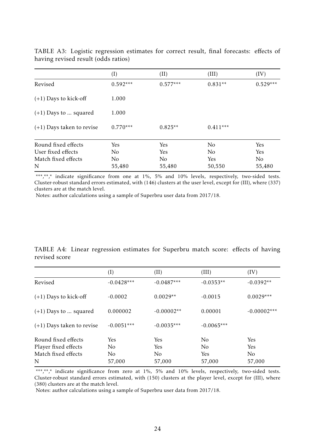<span id="page-25-0"></span>

|                             | (I)            | (II)           | (III)          | (IV)           |
|-----------------------------|----------------|----------------|----------------|----------------|
| Revised                     | $0.592***$     | $0.577***$     | $0.831**$      | $0.529***$     |
| $(+1)$ Days to kick-off     | 1.000          |                |                |                |
| $(+1)$ Days to  squared     | 1.000          |                |                |                |
| $(+1)$ Days taken to revise | $0.770***$     | $0.825**$      | $0.411***$     |                |
| Round fixed effects         | Yes            | Yes            | N <sub>0</sub> | Yes            |
| User fixed effects          | N <sub>0</sub> | Yes            | N <sub>o</sub> | Yes            |
| Match fixed effects         | N <sub>0</sub> | N <sub>o</sub> | Yes            | N <sub>o</sub> |
| N                           | 55,480         | 55,480         | 50,550         | 55,480         |

TABLE A3: Logistic regression estimates for correct result, final forecasts: effects of having revised result (odds ratios)

\*\*\*,\*\*,\* indicate significance from one at 1%, 5% and 10% levels, respectively, two-sided tests. Cluster-robust standard errors estimated, with (146) clusters at the user level, except for (III), where (337) clusters are at the match level.

Notes: author calculations using a sample of Superbru user data from 2017/18.

| TABLE A4: Linear regression estimates for Superbru match score: effects of having |  |  |  |  |  |
|-----------------------------------------------------------------------------------|--|--|--|--|--|
| revised score                                                                     |  |  |  |  |  |

|                                             | $(\mathrm{I})$        | (II)              | (III)                            | (IV)           |
|---------------------------------------------|-----------------------|-------------------|----------------------------------|----------------|
| Revised                                     | $-0.0428***$          | $-0.0487***$      | $-0.0353**$                      | $-0.0392**$    |
| $(+1)$ Days to kick-off                     | $-0.0002$             | $0.0029**$        | $-0.0015$                        | $0.0029***$    |
| $(+1)$ Days to  squared                     | 0.000002              | $-0.00002**$      | 0.00001                          | $-0.00002***$  |
| $(+1)$ Days taken to revise                 | $-0.0051***$          | $-0.0035***$      | $-0.0065***$                     |                |
| Round fixed effects<br>Player fixed effects | Yes<br>N <sub>0</sub> | <b>Yes</b><br>Yes | N <sub>0</sub><br>N <sub>0</sub> | Yes<br>Yes     |
| Match fixed effects                         | N <sub>o</sub>        | N <sub>0</sub>    | Yes                              | N <sub>0</sub> |
| N                                           | 57,000                | 57,000            | 57,000                           | 57,000         |

\*\*\*,\*\*,\* indicate significance from zero at 1%, 5% and 10% levels, respectively, two-sided tests. Cluster-robust standard errors estimated, with (150) clusters at the player level, except for (III), where (380) clusters are at the match level.